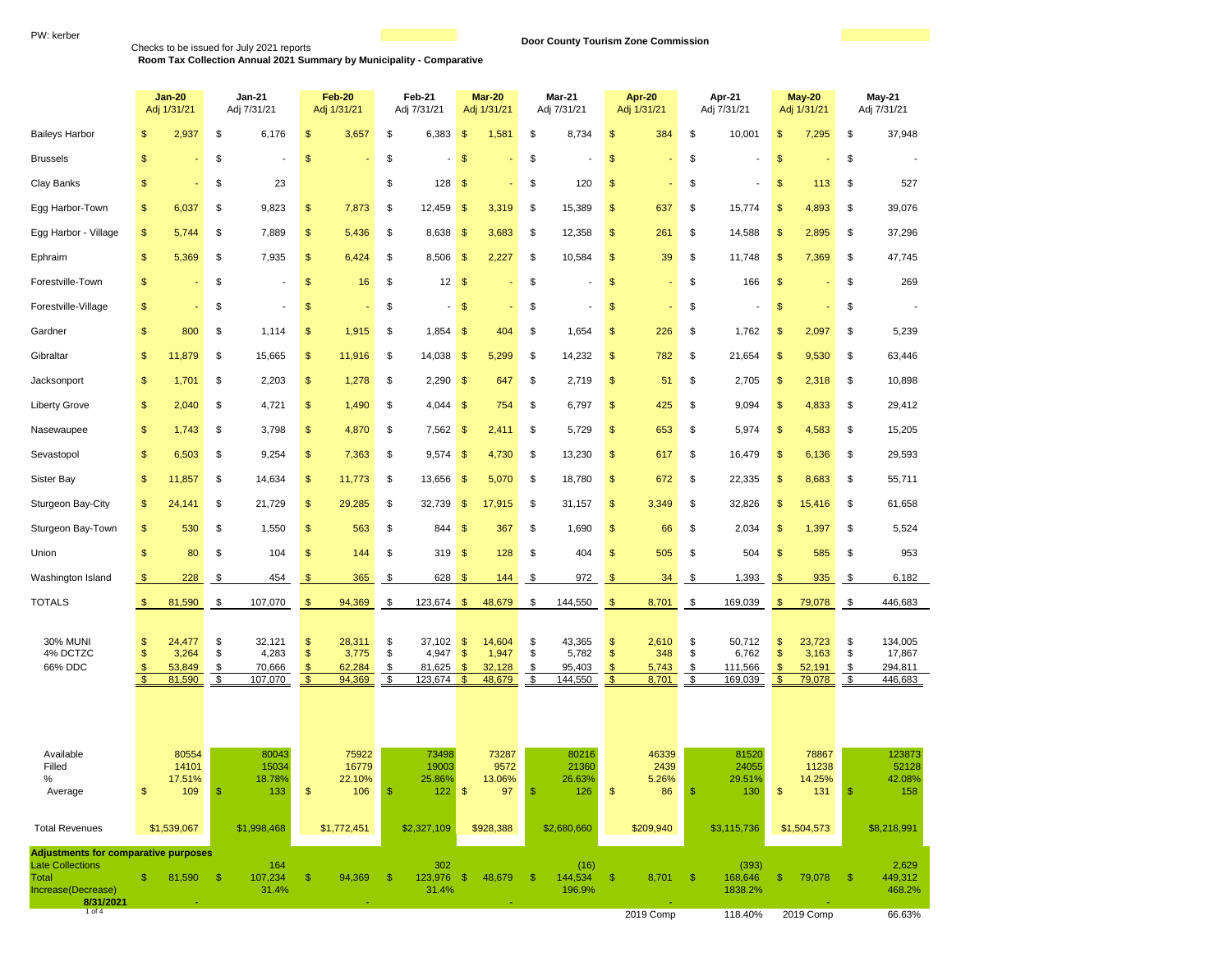PW: kerber<br>Checks to be issued for July 2021 reports<br>Room Tax Collection Annual 2021 Summary by Municipality - Comparative **Door County Tourism Zone Commission** 

|                                                              |                           | <b>Jan-20</b><br>Adj 1/31/21                   |                      | <b>Jan-21</b><br>Adj 7/31/21                   |                      | Feb-20<br>Adj 1/31/21                          | Feb-21<br>Adj 7/31/21 |                                                | Mar-20<br>Adj 1/31/21                                           |                                            |                      | Mar-21<br>Adj 7/31/21                          | <b>Apr-20</b><br>Adj 1/31/21     |                                           | Apr-21<br>Adj 7/31/21 |                                                | <b>May-20</b><br>Adj 1/31/21                          |                                                | <b>May-21</b><br>Adj 7/31/21 |                                                 |
|--------------------------------------------------------------|---------------------------|------------------------------------------------|----------------------|------------------------------------------------|----------------------|------------------------------------------------|-----------------------|------------------------------------------------|-----------------------------------------------------------------|--------------------------------------------|----------------------|------------------------------------------------|----------------------------------|-------------------------------------------|-----------------------|------------------------------------------------|-------------------------------------------------------|------------------------------------------------|------------------------------|-------------------------------------------------|
| <b>Baileys Harbor</b>                                        | \$                        | 2,937                                          | \$                   | 6,176                                          | \$                   | 3,657                                          | \$                    | 6,383                                          | $\mathsf{\$}$                                                   | 1,581                                      | \$                   | 8,734                                          | \$                               | 384                                       | \$                    | 10,001                                         | \$                                                    | 7,295                                          | \$                           | 37,948                                          |
| <b>Brussels</b>                                              | \$                        |                                                | \$                   |                                                | \$                   |                                                | \$                    |                                                | $\mathsf{\$}$                                                   |                                            | \$                   |                                                | \$                               |                                           | \$                    |                                                | $\frac{1}{2}$                                         |                                                | \$                           |                                                 |
| Clay Banks                                                   | \$                        |                                                | \$                   | 23                                             |                      |                                                | \$                    | 128                                            | $\mathsf{\$}$                                                   |                                            | \$                   | 120                                            | \$                               |                                           | \$                    | ÷,                                             | \$                                                    | 113                                            | \$                           | 527                                             |
| Egg Harbor-Town                                              | \$                        | 6,037                                          | \$                   | 9,823                                          | \$                   | 7,873                                          | \$                    | 12,459                                         | $\frac{1}{2}$                                                   | 3,319                                      | \$                   | 15,389                                         | \$                               | 637                                       | \$                    | 15,774                                         | $\frac{1}{2}$                                         | 4,893                                          | \$                           | 39,076                                          |
| Egg Harbor - Village                                         | \$                        | 5,744                                          | \$                   | 7,889                                          | \$                   | 5,436                                          | \$                    | 8,638                                          | \$                                                              | 3,683                                      | \$                   | 12,358                                         | \$                               | 261                                       | \$                    | 14,588                                         | $\,$                                                  | 2,895                                          | \$                           | 37,296                                          |
| Ephraim                                                      | \$                        | 5,369                                          | \$                   | 7,935                                          | \$                   | 6,424                                          | \$                    | 8,506                                          | $\mathbb{S}$                                                    | 2,227                                      | \$                   | 10,584                                         | \$                               | 39                                        | \$                    | 11,748                                         | \$                                                    | 7,369                                          | \$                           | 47,745                                          |
| Forestville-Town                                             | \$                        |                                                | \$                   |                                                | \$                   | 16                                             | \$                    | 12                                             | $\mathbf{\$}$                                                   |                                            | \$                   |                                                | \$                               |                                           | \$                    | 166                                            | \$                                                    |                                                | \$                           | 269                                             |
| Forestville-Village                                          | \$                        |                                                | \$                   |                                                | \$                   |                                                | \$                    |                                                | $\mathsf{\$}$                                                   |                                            | \$                   |                                                | \$                               |                                           | \$                    |                                                | \$                                                    |                                                | \$                           |                                                 |
| Gardner                                                      | \$                        | 800                                            | \$                   | 1,114                                          | \$                   | 1,915                                          | \$                    | 1,854                                          | \$                                                              | 404                                        | \$                   | 1,654                                          | \$                               | 226                                       | \$                    | 1,762                                          | $\frac{1}{2}$                                         | 2,097                                          | \$                           | 5,239                                           |
| Gibraltar                                                    | \$                        | 11,879                                         | \$                   | 15,665                                         | \$                   | 11,916                                         | \$                    | 14,038                                         | $\mathbf{\$}$                                                   | 5,299                                      | \$                   | 14,232                                         | \$                               | 782                                       | \$                    | 21,654                                         | \$                                                    | 9,530                                          | \$                           | 63,446                                          |
| Jacksonport                                                  | \$                        | 1,701                                          | \$                   | 2,203                                          | \$                   | 1,278                                          | \$                    | 2,290                                          | $\frac{1}{2}$                                                   | 647                                        | \$                   | 2,719                                          | \$                               | 51                                        | \$                    | 2,705                                          | $\frac{1}{2}$                                         | 2,318                                          | \$                           | 10,898                                          |
| <b>Liberty Grove</b>                                         | \$                        | 2,040                                          | \$                   | 4,721                                          | \$                   | 1,490                                          | \$                    | 4,044                                          | $\sqrt{3}$                                                      | 754                                        | \$                   | 6,797                                          | \$                               | 425                                       | \$                    | 9,094                                          | \$                                                    | 4,833                                          | \$                           | 29,412                                          |
| Nasewaupee                                                   | \$                        | 1,743                                          | \$                   | 3,798                                          | \$                   | 4,870                                          | \$                    | 7,562                                          | -\$                                                             | 2,411                                      | \$                   | 5,729                                          | \$                               | 653                                       | \$                    | 5,974                                          | \$                                                    | 4,583                                          | \$                           | 15,205                                          |
| Sevastopol                                                   | \$                        | 6,503                                          | \$                   | 9,254                                          | \$                   | 7,363                                          | \$                    | 9,574                                          | \$                                                              | 4,730                                      | \$                   | 13,230                                         | \$                               | 617                                       | \$                    | 16,479                                         | \$                                                    | 6,136                                          | \$                           | 29,593                                          |
| Sister Bay                                                   | \$                        | 11,857                                         | \$                   | 14,634                                         | \$                   | 11,773                                         | \$                    | 13,656                                         | $\mathsf{\$}$                                                   | 5,070                                      | \$                   | 18,780                                         | \$                               | 672                                       | \$                    | 22,335                                         | \$                                                    | 8,683                                          | \$                           | 55,711                                          |
| Sturgeon Bay-City                                            | \$                        | 24,141                                         | \$                   | 21,729                                         | \$                   | 29,285                                         | \$                    | 32,739                                         | \$                                                              | 17,915                                     | \$                   | 31,157                                         | \$                               | 3,349                                     | \$                    | 32,826                                         | \$                                                    | 15,416                                         | \$                           | 61,658                                          |
| Sturgeon Bay-Town                                            | \$                        | 530                                            | \$                   | 1,550                                          | \$                   | 563                                            | \$                    | 844                                            | $\mathsf{\$}$                                                   | 367                                        | \$                   | 1,690                                          | \$                               | 66                                        | \$                    | 2,034                                          | \$                                                    | 1,397                                          | \$                           | 5,524                                           |
| Union                                                        | \$                        | 80                                             | \$                   | 104                                            | \$                   | 144                                            | \$                    | 319                                            | $\sqrt{3}$                                                      | 128                                        | \$                   | 404                                            | \$                               | 505                                       | \$                    | 504                                            | $\frac{1}{2}$                                         | 585                                            | \$                           | 953                                             |
| Washington Island                                            | \$                        | 228                                            | \$                   | 454                                            | \$                   | 365                                            | \$                    | 628                                            | $\mathfrak{s}$                                                  | 144                                        | \$                   | 972                                            | $\frac{1}{2}$                    | 34                                        | \$                    | 1,393                                          | $\sqrt{3}$                                            | 935                                            | \$                           | 6,182                                           |
| <b>TOTALS</b>                                                | $\mathfrak{s}$            | 81,590                                         | \$                   | 107,070                                        | $\frac{1}{2}$        | 94,369                                         | \$                    | $123,674$ \$                                   |                                                                 | 48,679                                     | \$                   | 144,550                                        | \$                               | 8,701                                     | \$                    | 169,039                                        | -\$                                                   | 79,078                                         | \$                           | 446,683                                         |
| <b>30% MUNI</b><br>4% DCTZC<br>66% DDC                       | \$<br>\$<br>$\frac{1}{2}$ | 24,477<br>3,264<br>53,849<br>81,590            | \$<br>\$<br>\$<br>\$ | 32,121<br>4,283<br>70,666<br>107,070           | \$<br>\$<br>\$<br>\$ | 28,311<br>3,775<br>62,284<br>94,369            | \$<br>\$<br>\$<br>\$  | 37,102<br>4,947<br>81,625<br>123,674           | \$<br>$\sqrt[6]{\frac{1}{2}}$<br>$\mathsf{\$}$<br><sup>\$</sup> | 14,604<br>1,947<br>32,128<br>48,679        | \$<br>\$<br>\$<br>\$ | 43,365<br>5,782<br>95,403<br>144,550           | \$<br>\$<br>\$<br>$\mathfrak{s}$ | 2,610<br>348<br>5,743<br>8,701            | \$<br>\$<br>\$<br>\$  | 50,712<br>6,762<br>111,566<br>169,039          | \$<br>$\sqrt[6]{\frac{1}{2}}$<br>$\mathfrak{s}$<br>\$ | 23,723<br>3,163<br>52,191<br>79,078            | \$<br>\$<br>\$<br>\$         | 134,005<br>17,867<br>294,811<br>446,683         |
| Available<br>Filled<br>%<br>Average<br><b>Total Revenues</b> | \$                        | 80554<br>14101<br>17.51%<br>109<br>\$1,539,067 | $\mathfrak{s}$       | 80043<br>15034<br>18.78%<br>133<br>\$1,998,468 | \$                   | 75922<br>16779<br>22.10%<br>106<br>\$1,772,451 | $\frac{1}{2}$         | 73498<br>19003<br>25.86%<br>122<br>\$2,327,109 | $\mathfrak{F}$                                                  | 73287<br>9572<br>13.06%<br>97<br>\$928,388 | -\$                  | 80216<br>21360<br>26.63%<br>126<br>\$2,680,660 | $\frac{1}{2}$                    | 46339<br>2439<br>5.26%<br>86<br>\$209,940 | -\$                   | 81520<br>24055<br>29.51%<br>130<br>\$3,115,736 | \$                                                    | 78867<br>11238<br>14.25%<br>131<br>\$1,504,573 | $\frac{1}{2}$                | 123873<br>52128<br>42.08%<br>158<br>\$8,218,991 |
| <b>Adjustments for comparative purposes</b>                  |                           |                                                |                      |                                                |                      |                                                |                       |                                                |                                                                 |                                            |                      |                                                |                                  |                                           |                       |                                                |                                                       |                                                |                              |                                                 |
| <b>Late Collections</b><br>Total                             | $\mathbb{S}$              | 81,590 \$                                      |                      | 164<br>107,234                                 | $\mathfrak{F}$       | 94,369                                         | -\$                   | 302<br>123,976 \$                              |                                                                 | 48,679                                     | -\$                  | (16)<br>144,534                                | -\$                              | 8,701                                     | - \$                  | (393)<br>168,646                               | \$                                                    | 79,078                                         | - \$                         | 2,629<br>449,312                                |
| Increase(Decrease)<br>8/31/2021                              |                           |                                                |                      | 31.4%                                          |                      |                                                |                       | 31.4%                                          |                                                                 |                                            |                      | 196.9%                                         |                                  |                                           |                       | 1838.2%                                        |                                                       |                                                |                              | 468.2%                                          |
| $1$ of $4$                                                   |                           |                                                |                      |                                                |                      |                                                |                       |                                                |                                                                 |                                            |                      |                                                |                                  | 2019 Comp                                 |                       | 118.40%                                        |                                                       | 2019 Comp                                      |                              | 66.63%                                          |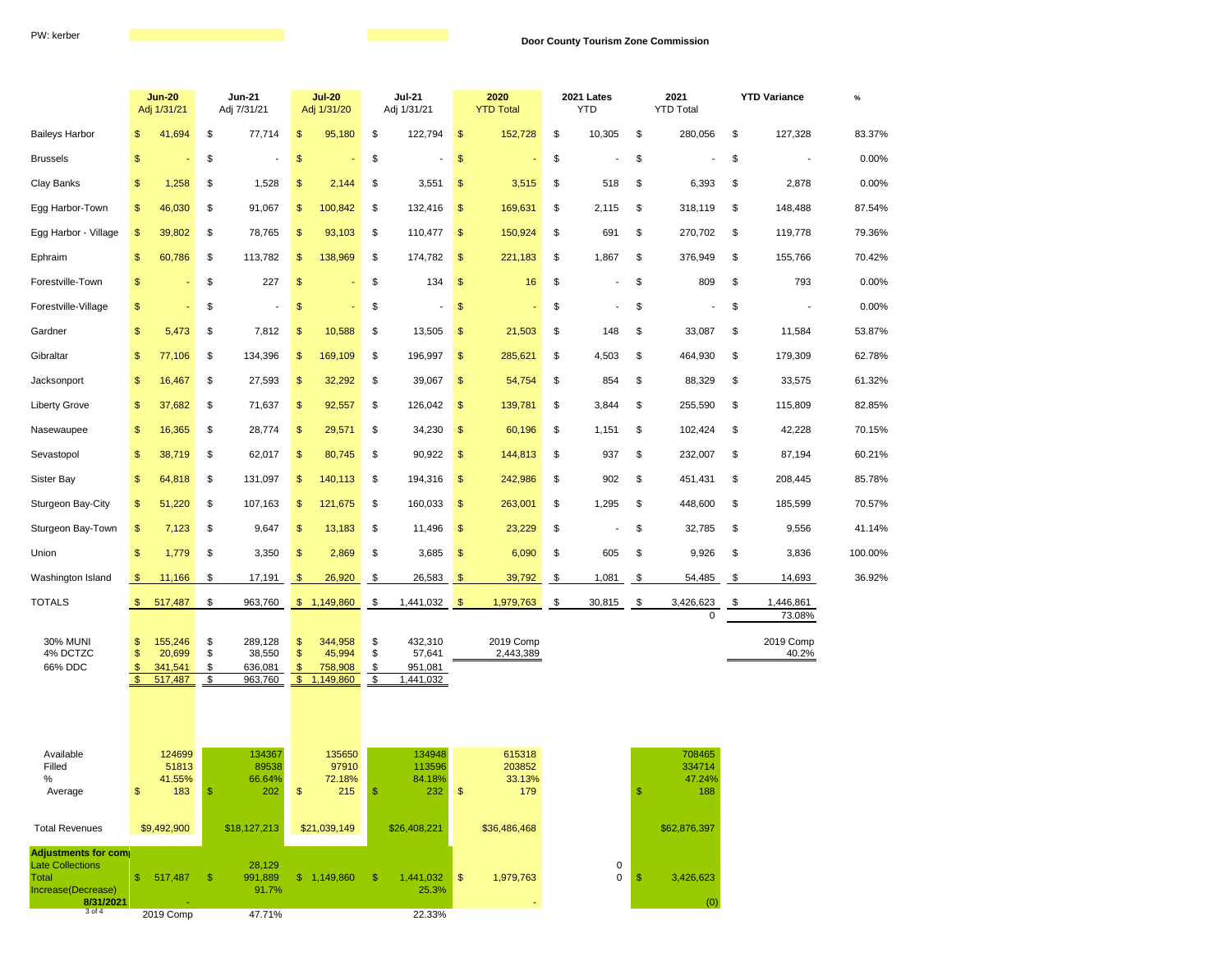|                                                                     |                                                       | <b>Jun-20</b><br>Adj 1/31/21                    |                                 | <b>Jun-21</b><br>Adj 7/31/21                     |                                            | <b>Jul-20</b><br>Adj 1/31/20                     |                                 | <b>Jul-21</b><br>Adj 1/31/21                      |                | 2020<br><b>YTD Total</b>                          |                | 2021 Lates<br><b>YTD</b> | 2021<br><b>YTD Total</b> |                                                   | <b>YTD Variance</b> |                     | $\%$    |  |
|---------------------------------------------------------------------|-------------------------------------------------------|-------------------------------------------------|---------------------------------|--------------------------------------------------|--------------------------------------------|--------------------------------------------------|---------------------------------|---------------------------------------------------|----------------|---------------------------------------------------|----------------|--------------------------|--------------------------|---------------------------------------------------|---------------------|---------------------|---------|--|
| <b>Baileys Harbor</b>                                               | $\mathfrak{s}$                                        | 41,694                                          | \$                              | 77,714                                           | \$                                         | 95,180                                           | \$                              | 122,794                                           | $\frac{1}{2}$  | 152,728                                           | \$             | 10,305                   | \$                       | 280,056                                           | \$                  | 127,328             | 83.37%  |  |
| <b>Brussels</b>                                                     | $\mathsf{\$}$                                         |                                                 | \$                              |                                                  | \$                                         |                                                  | \$                              |                                                   | \$             |                                                   | \$             |                          | \$                       |                                                   | \$                  |                     | 0.00%   |  |
| Clay Banks                                                          | \$                                                    | 1,258                                           | \$                              | 1,528                                            | \$                                         | 2,144                                            | \$                              | 3,551                                             | \$             | 3,515                                             | \$             | 518                      | \$                       | 6,393                                             | \$                  | 2,878               | 0.00%   |  |
| Egg Harbor-Town                                                     | $\mathfrak{s}$                                        | 46,030                                          | \$                              | 91,067                                           | $\mathfrak{S}$                             | 100,842                                          | \$                              | 132,416                                           | \$             | 169,631                                           | \$             | 2,115                    | \$                       | 318,119                                           | \$                  | 148,488             | 87.54%  |  |
| Egg Harbor - Village                                                | $\frac{1}{2}$                                         | 39,802                                          | \$                              | 78,765                                           | \$                                         | 93,103                                           | \$                              | 110,477                                           | $\frac{1}{2}$  | 150,924                                           | \$             | 691                      | \$                       | 270,702                                           | \$                  | 119,778             | 79.36%  |  |
| Ephraim                                                             | \$                                                    | 60,786                                          | \$                              | 113,782                                          | \$                                         | 138,969                                          | \$                              | 174,782                                           | \$             | 221,183                                           | \$             | 1,867                    | \$                       | 376,949                                           | \$                  | 155,766             | 70.42%  |  |
| Forestville-Town                                                    | \$                                                    |                                                 | \$                              | 227                                              | \$                                         |                                                  | \$                              | 134                                               | $\sqrt{2}$     | 16                                                | \$             |                          | \$                       | 809                                               | \$                  | 793                 | 0.00%   |  |
| Forestville-Village                                                 | $\frac{1}{2}$                                         |                                                 | \$                              |                                                  | \$                                         |                                                  | \$                              |                                                   | \$             |                                                   | \$             |                          | \$                       |                                                   | \$                  |                     | 0.00%   |  |
| Gardner                                                             | $\frac{1}{2}$                                         | 5,473                                           | \$                              | 7,812                                            | \$                                         | 10,588                                           | \$                              | 13,505                                            | \$             | 21,503                                            | \$             | 148                      | \$                       | 33,087                                            | \$                  | 11,584              | 53.87%  |  |
| Gibraltar                                                           | $\frac{1}{2}$                                         | 77,106                                          | \$                              | 134,396                                          | \$                                         | 169,109                                          | \$                              | 196,997                                           | \$             | 285,621                                           | \$             | 4,503                    | \$                       | 464,930                                           | \$                  | 179,309             | 62.78%  |  |
| Jacksonport                                                         | $\mathsf{\$}$                                         | 16,467                                          | \$                              | 27,593                                           | $\mathsf{\$}$                              | 32,292                                           | \$                              | 39,067                                            | \$             | 54,754                                            | \$             | 854                      | \$                       | 88,329                                            | \$                  | 33,575              | 61.32%  |  |
| <b>Liberty Grove</b>                                                | $\mathfrak{F}$                                        | 37,682                                          | \$                              | 71,637                                           | \$                                         | 92,557                                           | \$                              | 126,042                                           | \$             | 139,781                                           | \$             | 3,844                    | \$                       | 255,590                                           | \$                  | 115,809             | 82.85%  |  |
| Nasewaupee                                                          | \$                                                    | 16,365                                          | \$                              | 28,774                                           | \$                                         | 29,571                                           | \$                              | 34,230                                            | $\sqrt{2}$     | 60,196                                            | \$             | 1,151                    | \$                       | 102,424                                           | \$                  | 42,228              | 70.15%  |  |
| Sevastopol                                                          | $\mathsf{\$}$                                         | 38,719                                          | \$                              | 62,017                                           | $\mathsf{\$}$                              | 80,745                                           | \$                              | 90,922                                            | \$             | 144,813                                           | \$             | 937                      | \$                       | 232,007                                           | \$                  | 87,194              | 60.21%  |  |
| Sister Bay                                                          | $\frac{1}{2}$                                         | 64,818                                          | \$                              | 131,097                                          | \$                                         | 140,113                                          | \$                              | 194,316                                           | $\frac{1}{2}$  | 242,986                                           | \$             | 902                      | \$                       | 451,431                                           | \$                  | 208,445             | 85.78%  |  |
| Sturgeon Bay-City                                                   | $\mathfrak{F}$                                        | 51,220                                          | \$                              | 107,163                                          | \$                                         | 121,675                                          | \$                              | 160,033                                           | \$             | 263,001                                           | \$             | 1,295                    | \$                       | 448,600                                           | \$                  | 185,599             | 70.57%  |  |
| Sturgeon Bay-Town                                                   | $\frac{1}{2}$                                         | 7,123                                           | \$                              | 9,647                                            | \$                                         | 13,183                                           | \$                              | 11,496                                            | \$             | 23,229                                            | \$             |                          | \$                       | 32,785                                            | \$                  | 9,556               | 41.14%  |  |
| Union                                                               | $\frac{1}{2}$                                         | 1,779                                           | \$                              | 3,350                                            | \$                                         | 2,869                                            | \$                              | 3,685                                             | \$             | 6,090                                             | \$             | 605                      | \$                       | 9,926                                             | \$                  | 3,836               | 100.00% |  |
| Washington Island                                                   | $\mathfrak{F}$                                        | 11,166                                          | \$                              | 17,191                                           | $\mathfrak{F}$                             | 26,920                                           | \$                              | 26,583                                            | $\frac{1}{2}$  | 39,792                                            | \$             | 1,081                    | \$                       | 54,485                                            | \$                  | 14,693              | 36.92%  |  |
| <b>TOTALS</b>                                                       | $\mathbb{S}$                                          | 517,487                                         | \$                              | 963,760                                          |                                            | \$1,149,860                                      | \$                              | 1,441,032                                         | $\sqrt{3}$     | 1,979,763                                         | $\mathfrak{s}$ | 30,815                   | - \$                     | 3,426,623<br>$\mathbf 0$                          | \$                  | 1,446,861<br>73.08% |         |  |
| <b>30% MUNI</b><br>4% DCTZC<br>66% DDC                              | \$<br>$\mathsf{\$}$<br>$\mathsf{\$}$<br>$\frac{1}{2}$ | 155,246<br>20,699<br>341,541<br>517,487         | \$<br>\$<br>\$<br>$\frac{1}{2}$ | 289,128<br>38,550<br>636,081<br>963,760          | \$<br>\$<br>$\mathfrak{S}$<br>$\mathsf{S}$ | 344,958<br>45,994<br>758,908<br>1,149,860        | \$<br>\$<br>$\frac{1}{2}$<br>\$ | 432,310<br>57,641<br>951,081<br>1,441,032         |                | 2019 Comp<br>2,443,389                            |                |                          |                          |                                                   |                     | 2019 Comp<br>40.2%  |         |  |
| Available<br>Filled<br>$\%$<br>Average<br><b>Total Revenues</b>     | \$                                                    | 124699<br>51813<br>41.55%<br>183<br>\$9,492,900 | \$                              | 134367<br>89538<br>66.64%<br>202<br>\$18,127,213 | \$                                         | 135650<br>97910<br>72.18%<br>215<br>\$21,039,149 | \$                              | 134948<br>113596<br>84.18%<br>232<br>\$26,408,221 | \$             | 615318<br>203852<br>33.13%<br>179<br>\$36,486,468 |                |                          | \$                       | 708465<br>334714<br>47.24%<br>188<br>\$62,876,397 |                     |                     |         |  |
| Adjustments for com                                                 |                                                       |                                                 |                                 |                                                  |                                            |                                                  |                                 |                                                   |                |                                                   |                |                          |                          |                                                   |                     |                     |         |  |
| <b>Late Collections</b><br>Total<br>Increase(Decrease)<br>8/31/2021 | S.                                                    | 517,487                                         | -\$                             | 28,129<br>991,889<br>91.7%                       |                                            | \$1,149,860                                      | -\$                             | 1,441,032<br>25.3%                                | $\mathfrak{s}$ | 1,979,763                                         |                | 0<br>0                   | \$.                      | 3,426,623<br>(0)                                  |                     |                     |         |  |
| $3$ of $4$                                                          |                                                       | $2010$ Comp                                     |                                 | 477104                                           |                                            |                                                  |                                 | 22 330                                            |                |                                                   |                |                          |                          |                                                   |                     |                     |         |  |

2019 Comp 47.71% 22.33%